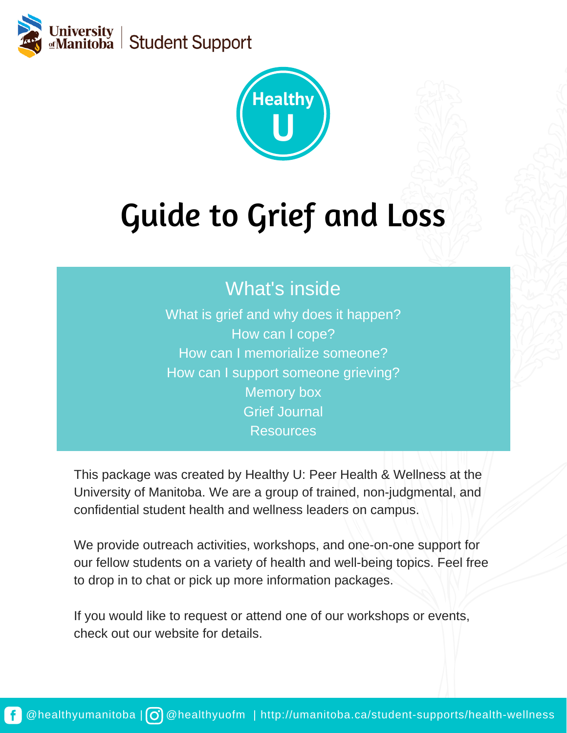



# Guide to Grief and Loss

### What's inside

What is grief and why does it happen? How can I cope? How can I memorialize someone? How can I support someone grieving? Memory box Grief Journal **Resources** 

This package was created by Healthy U: Peer Health & Wellness at the University of Manitoba. We are a group of trained, non-judgmental, and confidential student health and wellness leaders on campus.

We provide outreach activities, workshops, and one-on-one support for our fellow students on a variety of health and well-being topics. Feel free to drop in to chat or pick up more information packages.

If you would like to request or attend one of our workshops or events, check out our website for details.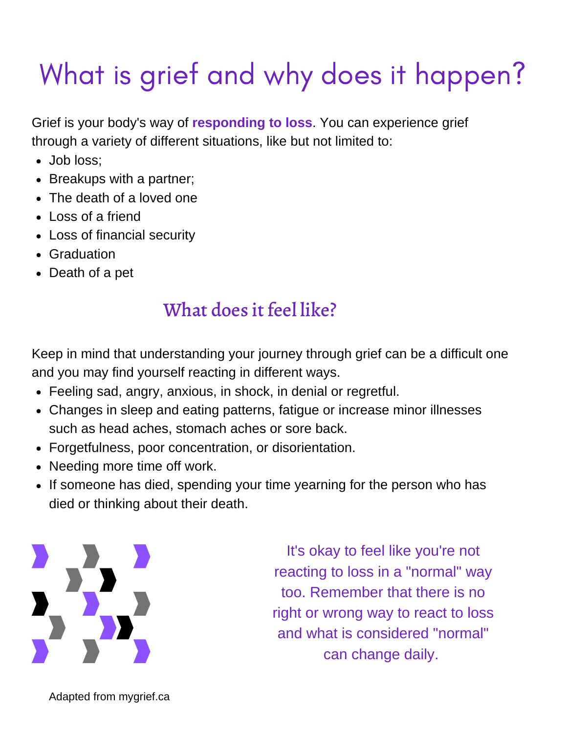# What is grief and why does it happen?

Grief is your body's way of **responding to loss**. You can experience grief through a variety of different situations, like but not limited to:

- Job loss;
- Breakups with a partner;
- The death of a loved one
- Loss of a friend
- Loss of financial security
- Graduation
- Death of a pet

### What does it feel like?

Keep in mind that understanding your journey through grief can be a difficult one and you may find yourself reacting in different ways.

- Feeling sad, angry, anxious, in shock, in denial or regretful.
- Changes in sleep and eating patterns, fatigue or increase minor illnesses such as head aches, stomach aches or sore back.
- Forgetfulness, poor concentration, or disorientation.
- Needing more time off work.
- If someone has died, spending your time yearning for the person who has died or thinking about their death.



It's okay to feel like you're not reacting to loss in a "normal" way too. Remember that there is no right or wrong way to react to loss and what is considered "normal" can change daily.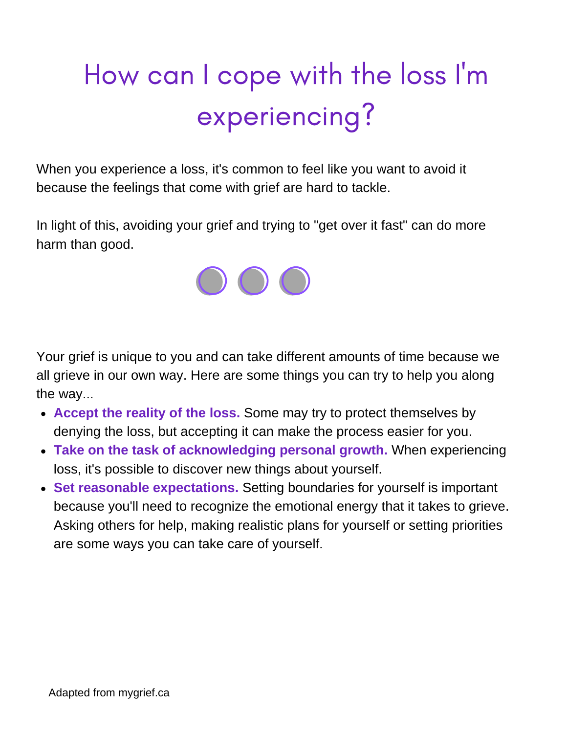# How can I cope with the loss I' m experiencing?

When you experience a loss, it's common to feel like you want to avoid it because the feelings that come with grief are hard to tackle.

In light of this, avoiding your grief and trying to "get over it fast" can do more harm than good.



Your grief is unique to you and can take different amounts of time because we all grieve in our own way. Here are some things you can try to help you along the way...

- **Accept the reality of the loss.** Some may try to protect themselves by denying the loss, but accepting it can make the process easier for you.
- **Take on the task of acknowledging personal growth.** When experiencing loss, it's possible to discover new things about yourself.
- **Set reasonable expectations.** Setting boundaries for yourself is important because you'll need to recognize the emotional energy that it takes to grieve. Asking others for help, making realistic plans for yourself or setting priorities are some ways you can take care of yourself.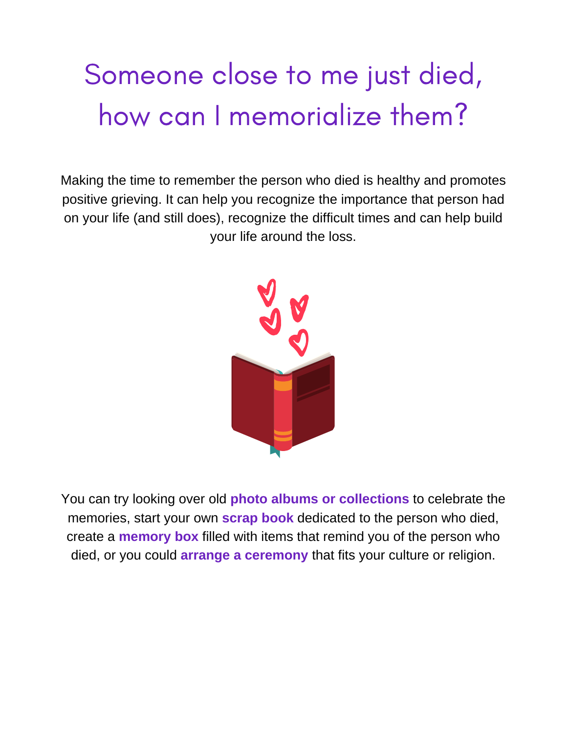## Someone close to me just died, how can I memorialize them?

Making the time to remember the person who died is healthy and promotes positive grieving. It can help you recognize the importance that person had on your life (and still does), recognize the difficult times and can help build your life around the loss.



You can try looking over old **photo albums or collections** to celebrate the memories, start your own **scrap book** dedicated to the person who died, create a **memory box** filled with items that remind you of the person who died, or you could **arrange a ceremony** that fits your culture or religion.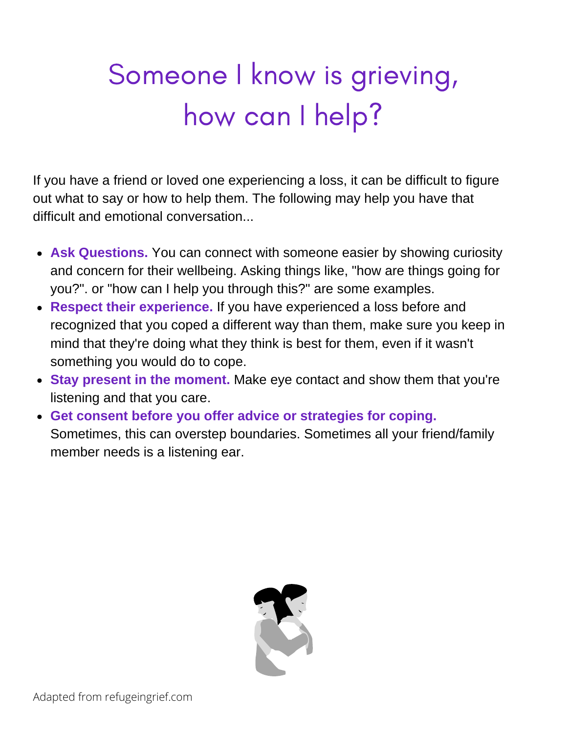# Someone I know is grieving, how can I help?

If you have a friend or loved one experiencing a loss, it can be difficult to figure out what to say or how to help them. The following may help you have that difficult and emotional conversation...

- **Ask Questions.** You can connect with someone easier by showing curiosity and concern for their wellbeing. Asking things like, "how are things going for you?". or "how can I help you through this?" are some examples.
- **Respect their experience.** If you have experienced a loss before and recognized that you coped a different way than them, make sure you keep in mind that they're doing what they think is best for them, even if it wasn't something you would do to cope.
- **Stay present in the moment.** Make eye contact and show them that you're listening and that you care.
- **Get consent before you offer advice or strategies for coping.** Sometimes, this can overstep boundaries. Sometimes all your friend/family member needs is a listening ear.

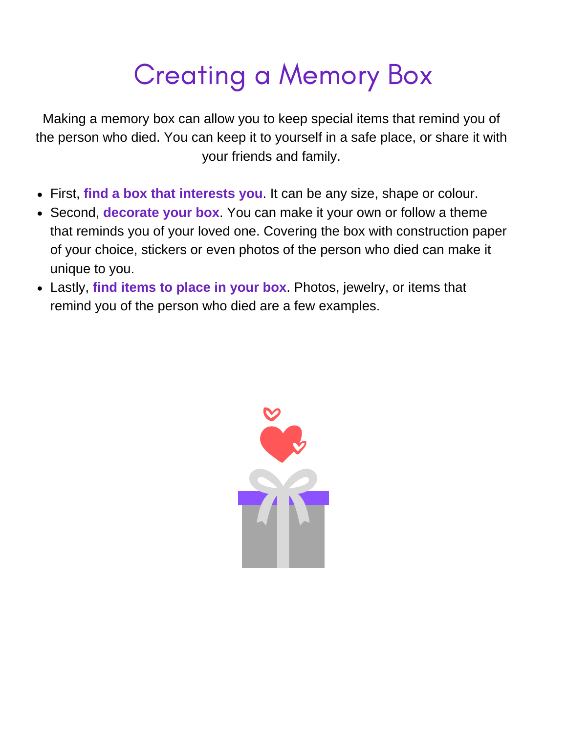### Creating a Memory Box

Making a memory box can allow you to keep special items that remind you of the person who died. You can keep it to yourself in a safe place, or share it with your friends and family.

- First, **find a box that interests you**. It can be any size, shape or colour.
- Second, **decorate your box**. You can make it your own or follow a theme that reminds you of your loved one. Covering the box with construction paper of your choice, stickers or even photos of the person who died can make it unique to you.
- Lastly, **find items to place in your box**. Photos, jewelry, or items that remind you of the person who died are a few examples.

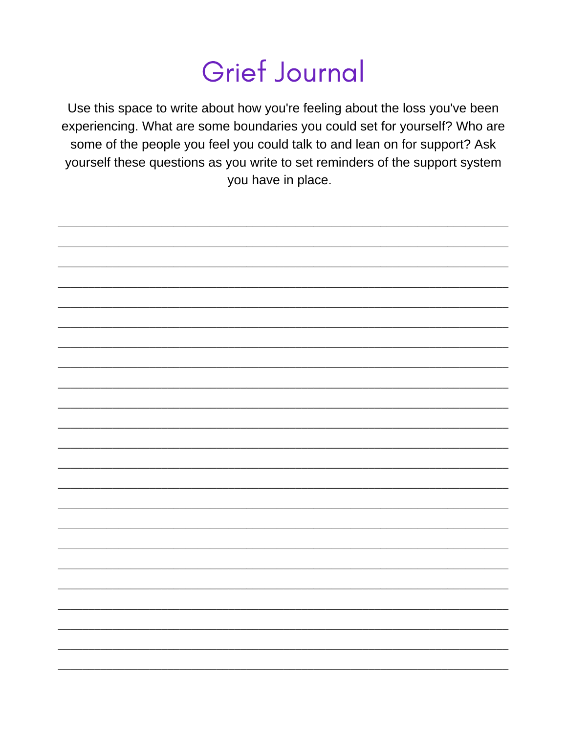### **Grief Journal**

Use this space to write about how you're feeling about the loss you've been experiencing. What are some boundaries you could set for yourself? Who are some of the people you feel you could talk to and lean on for support? Ask yourself these questions as you write to set reminders of the support system you have in place.

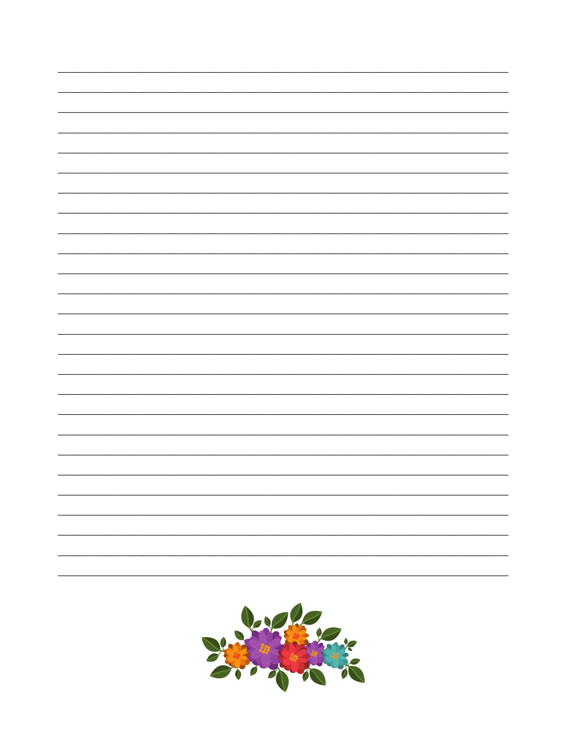

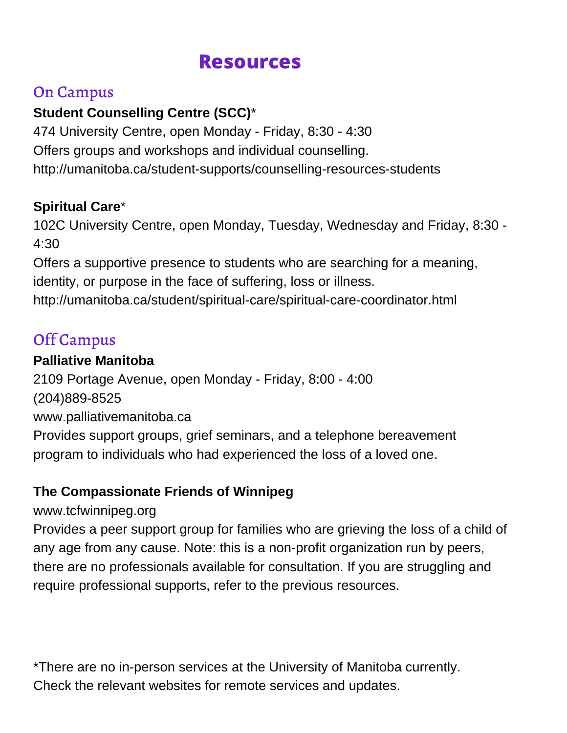### **Resources**

#### On Campus

#### **Student Counselling Centre (SCC)**\*

474 University Centre, open Monday - Friday, 8:30 - 4:30 Offers groups and workshops and individual counselling. http://umanitoba.ca/student-supports/counselling-resources-students

#### **Spiritual Care**\*

102C University Centre, open Monday, Tuesday, Wednesday and Friday, 8:30 - 4:30

Offers a supportive presence to students who are searching for a meaning, identity, or purpose in the face of suffering, loss or illness. http://umanitoba.ca/student/spiritual-care/spiritual-care-coordinator.html

### Off Campus

#### **Palliative Manitoba**

2109 Portage Avenue, open Monday - Friday, 8:00 - 4:00 (204)889-8525 www.palliativemanitoba.ca Provides support groups, grief seminars, and a telephone bereavement program to individuals who had experienced the loss of a loved one.

#### **The Compassionate Friends of Winnipeg**

www.tcfwinnipeg.org

Provides a peer support group for families who are grieving the loss of a child of any age from any cause. Note: this is a non-profit organization run by peers, there are no professionals available for consultation. If you are struggling and require professional supports, refer to the previous resources.

\*There are no in-person services at the University of Manitoba currently. Check the relevant websites for remote services and updates.